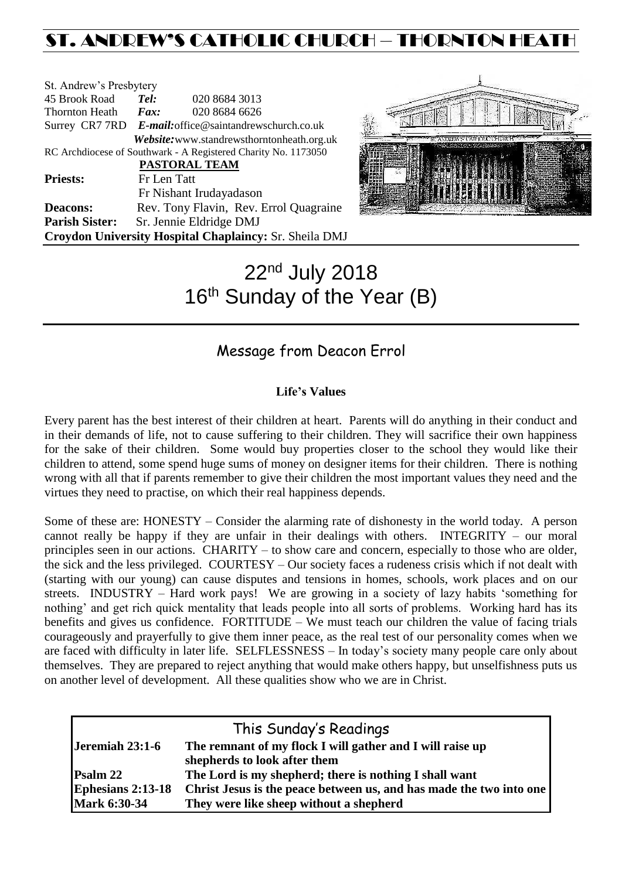# ST. ANDREW'S CATHOLIC CHURCH – THORNTON HEATH

| St. Andrew's Presbytery                                        |                                                        |                                            |  |  |  |
|----------------------------------------------------------------|--------------------------------------------------------|--------------------------------------------|--|--|--|
| 45 Brook Road                                                  | Tel:                                                   | 020 8684 3013                              |  |  |  |
| <b>Thornton Heath</b>                                          | $\boldsymbol{F}$ <i>ax</i> :                           | 020 8684 6626                              |  |  |  |
|                                                                | Surrey CR7 7RD E-mail: office@saintandrewschurch.co.uk |                                            |  |  |  |
|                                                                |                                                        | Website: www.standrewsthorntonheath.org.uk |  |  |  |
| RC Archdiocese of Southwark - A Registered Charity No. 1173050 |                                                        |                                            |  |  |  |
| PASTORAL TEAM                                                  |                                                        |                                            |  |  |  |
| <b>Priests:</b>                                                | Fr Len Tatt                                            |                                            |  |  |  |
|                                                                |                                                        | Fr Nishant Irudayadason                    |  |  |  |
| <b>Deacons:</b>                                                |                                                        | Rev. Tony Flavin, Rev. Errol Quagraine     |  |  |  |
| <b>Parish Sister:</b>                                          |                                                        | Sr. Jennie Eldridge DMJ                    |  |  |  |
| Croydon University Hospital Chaplaincy: Sr. Sheila DMJ         |                                                        |                                            |  |  |  |



# 22nd July 2018 16<sup>th</sup> Sunday of the Year (B)

# Message from Deacon Errol

## **Life's Values**

Every parent has the best interest of their children at heart. Parents will do anything in their conduct and in their demands of life, not to cause suffering to their children. They will sacrifice their own happiness for the sake of their children. Some would buy properties closer to the school they would like their children to attend, some spend huge sums of money on designer items for their children. There is nothing wrong with all that if parents remember to give their children the most important values they need and the virtues they need to practise, on which their real happiness depends.

Some of these are: HONESTY – Consider the alarming rate of dishonesty in the world today. A person cannot really be happy if they are unfair in their dealings with others. INTEGRITY – our moral principles seen in our actions. CHARITY – to show care and concern, especially to those who are older, the sick and the less privileged. COURTESY – Our society faces a rudeness crisis which if not dealt with (starting with our young) can cause disputes and tensions in homes, schools, work places and on our streets. INDUSTRY – Hard work pays! We are growing in a society of lazy habits 'something for nothing' and get rich quick mentality that leads people into all sorts of problems. Working hard has its benefits and gives us confidence. FORTITUDE – We must teach our children the value of facing trials courageously and prayerfully to give them inner peace, as the real test of our personality comes when we are faced with difficulty in later life. SELFLESSNESS – In today's society many people care only about themselves. They are prepared to reject anything that would make others happy, but unselfishness puts us on another level of development. All these qualities show who we are in Christ.

|                          | This Sunday's Readings                                              |
|--------------------------|---------------------------------------------------------------------|
| Jeremiah 23:1-6          | The remnant of my flock I will gather and I will raise up           |
|                          | shepherds to look after them                                        |
| Psalm 22                 | The Lord is my shepherd; there is nothing I shall want              |
| <b>Ephesians 2:13-18</b> | Christ Jesus is the peace between us, and has made the two into one |
| <b>Mark 6:30-34</b>      | They were like sheep without a shepherd                             |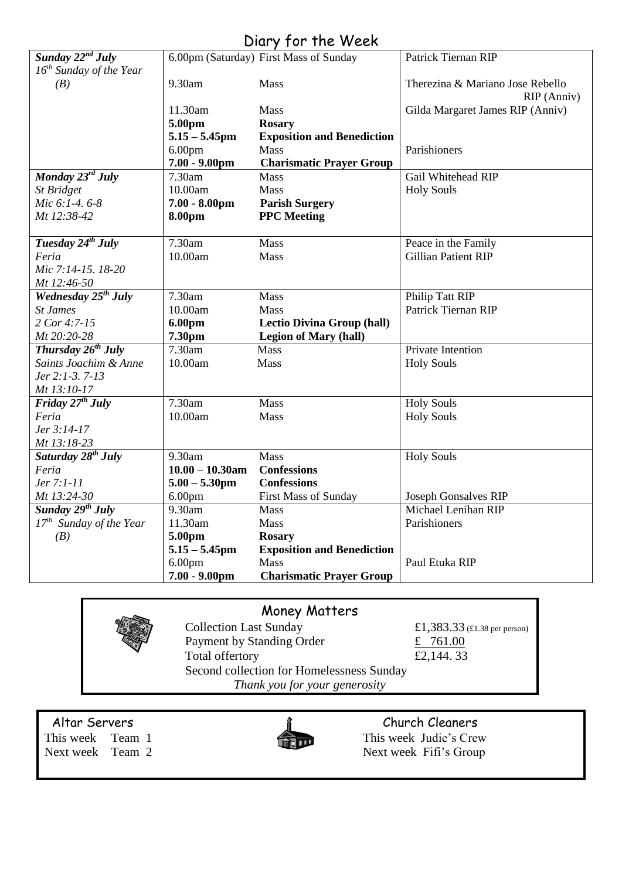# Diary for the Week

| Sunday $22^{nd}$ July           |                    | 6.00pm (Saturday) First Mass of Sunday | Patrick Tiernan RIP              |
|---------------------------------|--------------------|----------------------------------------|----------------------------------|
| $16^{th}$ Sunday of the Year    |                    |                                        |                                  |
| (B)                             | 9.30am             | Mass                                   | Therezina & Mariano Jose Rebello |
|                                 |                    |                                        | RIP (Anniv)                      |
|                                 | 11.30am            | Mass                                   | Gilda Margaret James RIP (Anniv) |
|                                 | 5.00pm             | <b>Rosary</b>                          |                                  |
|                                 | $5.15 - 5.45$ pm   | <b>Exposition and Benediction</b>      |                                  |
|                                 | 6.00 <sub>pm</sub> | Mass                                   | Parishioners                     |
|                                 | $7.00 - 9.00$ pm   | <b>Charismatic Prayer Group</b>        |                                  |
| Monday 23rd July                | 7.30am             | <b>Mass</b>                            | Gail Whitehead RIP               |
| <b>St Bridget</b>               | 10.00am            | Mass                                   | <b>Holy Souls</b>                |
| Mic 6:1-4.6-8                   | $7.00 - 8.00$ pm   | <b>Parish Surgery</b>                  |                                  |
| Mt 12:38-42                     | 8.00pm             | <b>PPC</b> Meeting                     |                                  |
|                                 |                    |                                        |                                  |
| Tuesday 24 <sup>th</sup> July   | 7.30am             | Mass                                   | Peace in the Family              |
| Feria                           | 10.00am            | Mass                                   | <b>Gillian Patient RIP</b>       |
| Mic 7:14-15. 18-20              |                    |                                        |                                  |
| Mt 12:46-50                     |                    |                                        |                                  |
| Wednesday 25 <sup>th</sup> July | 7.30am             | Mass                                   | Philip Tatt RIP                  |
| <b>St James</b>                 | 10.00am            | <b>Mass</b>                            | Patrick Tiernan RIP              |
| 2 Cor 4:7-15                    | 6.00pm             | <b>Lectio Divina Group (hall)</b>      |                                  |
| Mt 20:20-28                     | 7.30pm             | <b>Legion of Mary (hall)</b>           |                                  |
| Thursday $26^{th}$ July         | 7.30am             | Mass                                   | Private Intention                |
| Saints Joachim & Anne           | 10.00am            | <b>Mass</b>                            | <b>Holy Souls</b>                |
| Jer 2:1-3.7-13                  |                    |                                        |                                  |
| Mt 13:10-17                     |                    |                                        |                                  |
| Friday $27^{th}$ July           | 7.30am             | Mass                                   | <b>Holy Souls</b>                |
| Feria                           | 10.00am            | Mass                                   | <b>Holy Souls</b>                |
| Jer 3:14-17                     |                    |                                        |                                  |
| Mt 13:18-23                     |                    |                                        |                                  |
| Saturday 28 <sup>th</sup> July  | 9.30am             | Mass                                   | <b>Holy Souls</b>                |
| Feria                           | $10.00 - 10.30$ am | <b>Confessions</b>                     |                                  |
| Jer 7:1-11                      | $5.00 - 5.30$ pm   | <b>Confessions</b>                     |                                  |
| Mt 13:24-30                     | 6.00 <sub>pm</sub> | First Mass of Sunday                   | Joseph Gonsalves RIP             |
| Sunday 29 <sup>th</sup> July    | 9.30am             | <b>Mass</b>                            | Michael Lenihan RIP              |
| $17th$ Sunday of the Year       | 11.30am            | <b>Mass</b>                            | Parishioners                     |
| (B)                             | 5.00pm             | <b>Rosary</b>                          |                                  |
|                                 | $5.15 - 5.45$ pm   | <b>Exposition and Benediction</b>      |                                  |
|                                 | 6.00 <sub>pm</sub> | <b>Mass</b>                            | Paul Etuka RIP                   |
|                                 | $7.00 - 9.00$ pm   | <b>Charismatic Prayer Group</b>        |                                  |
|                                 |                    |                                        |                                  |

# Money Matters

Collection Last Sunday  $£1,383.33$  (£1.38 per person) Payment by Standing Order  $\frac{2}{x}$  761.00 Total offertory  $£2,144.33$ Second collection for Homelessness Sunday *Thank you for your generosity*



Altar Servers **Church Cleaners Church Cleaners** This week Team 1 This week Judie's Crew<br>Next week Team 2 Next week Fifi's Group Next week Fifi's Group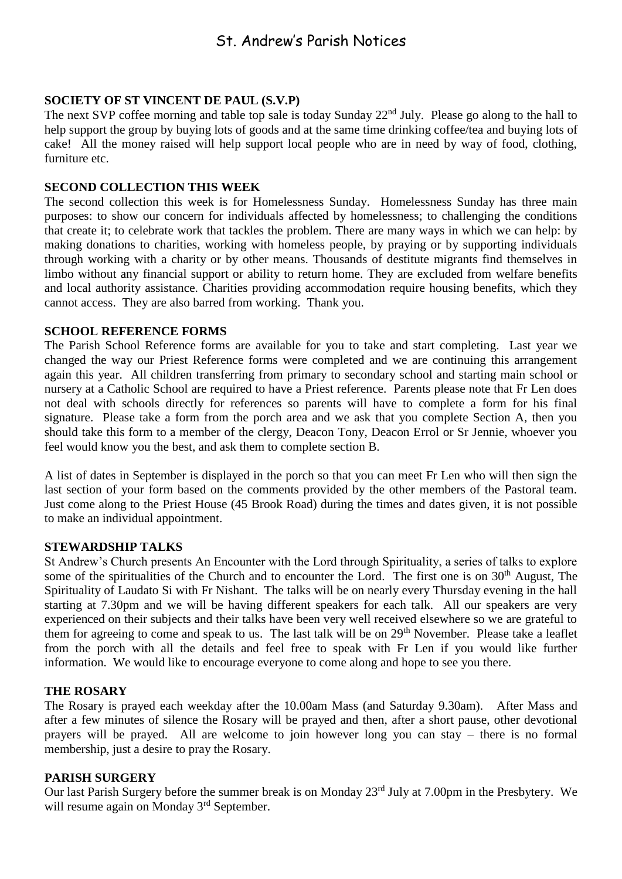# St. Andrew's Parish Notices

#### **SOCIETY OF ST VINCENT DE PAUL (S.V.P)**

The next SVP coffee morning and table top sale is today Sunday 22<sup>nd</sup> July. Please go along to the hall to help support the group by buying lots of goods and at the same time drinking coffee/tea and buying lots of cake! All the money raised will help support local people who are in need by way of food, clothing, furniture etc.

#### **SECOND COLLECTION THIS WEEK**

The second collection this week is for Homelessness Sunday. Homelessness Sunday has three main purposes: to show our concern for individuals affected by homelessness; to challenging the conditions that create it; to celebrate work that tackles the problem. There are many ways in which we can help: by making donations to charities, working with homeless people, by praying or by supporting individuals through working with a charity or by other means. Thousands of destitute migrants find themselves in limbo without any financial support or ability to return home. They are excluded from welfare benefits and local authority assistance. Charities providing accommodation require housing benefits, which they cannot access. They are also barred from working. Thank you.

## **SCHOOL REFERENCE FORMS**

The Parish School Reference forms are available for you to take and start completing. Last year we changed the way our Priest Reference forms were completed and we are continuing this arrangement again this year. All children transferring from primary to secondary school and starting main school or nursery at a Catholic School are required to have a Priest reference. Parents please note that Fr Len does not deal with schools directly for references so parents will have to complete a form for his final signature. Please take a form from the porch area and we ask that you complete Section A, then you should take this form to a member of the clergy, Deacon Tony, Deacon Errol or Sr Jennie, whoever you feel would know you the best, and ask them to complete section B.

A list of dates in September is displayed in the porch so that you can meet Fr Len who will then sign the last section of your form based on the comments provided by the other members of the Pastoral team. Just come along to the Priest House (45 Brook Road) during the times and dates given, it is not possible to make an individual appointment.

#### **STEWARDSHIP TALKS**

St Andrew's Church presents An Encounter with the Lord through Spirituality, a series of talks to explore some of the spiritualities of the Church and to encounter the Lord. The first one is on  $30<sup>th</sup>$  August, The Spirituality of Laudato Si with Fr Nishant. The talks will be on nearly every Thursday evening in the hall starting at 7.30pm and we will be having different speakers for each talk. All our speakers are very experienced on their subjects and their talks have been very well received elsewhere so we are grateful to them for agreeing to come and speak to us. The last talk will be on 29<sup>th</sup> November. Please take a leaflet from the porch with all the details and feel free to speak with Fr Len if you would like further information. We would like to encourage everyone to come along and hope to see you there.

#### **THE ROSARY**

The Rosary is prayed each weekday after the 10.00am Mass (and Saturday 9.30am). After Mass and after a few minutes of silence the Rosary will be prayed and then, after a short pause, other devotional prayers will be prayed. All are welcome to join however long you can stay – there is no formal membership, just a desire to pray the Rosary.

#### **PARISH SURGERY**

Our last Parish Surgery before the summer break is on Monday 23rd July at 7.00pm in the Presbytery. We will resume again on Monday 3<sup>rd</sup> September.